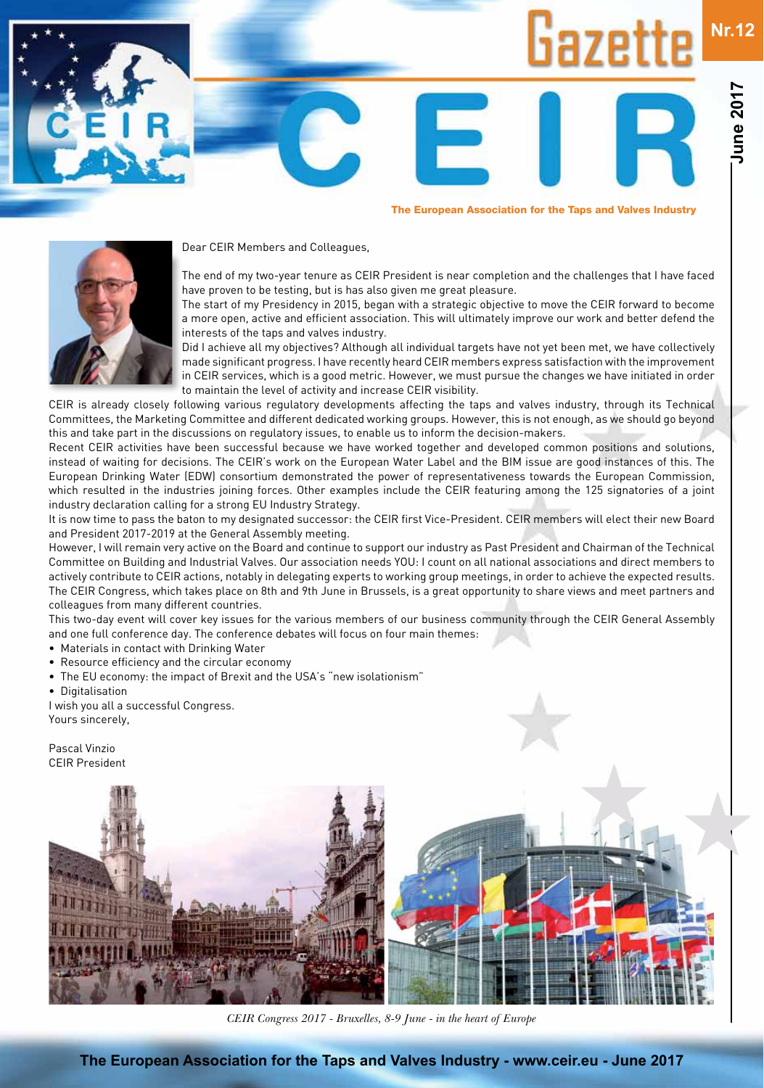# **Nr.12haze**

**June 2017**

**une 2017** 



Dear CEIR Members and Colleagues,



The end of my two-year tenure as CEIR President is near completion and the challenges that I have faced have proven to be testing, but is has also given me great pleasure.

The European Association for the Taps and Valves Industry

The start of my Presidency in 2015, began with a strategic objective to move the CEIR forward to become a more open, active and efficient association. This will ultimately improve our work and better defend the interests of the taps and valves industry.

Did I achieve all my objectives? Although all individual targets have not yet been met, we have collectively made significant progress. I have recently heard CEIR members express satisfaction with the improvement in CEIR services, which is a good metric. However, we must pursue the changes we have initiated in order to maintain the level of activity and increase CEIR visibility.

CEIR is already closely following various regulatory developments affecting the taps and valves industry, through its Technical Committees, the Marketing Committee and different dedicated working groups. However, this is not enough, as we should go beyond this and take part in the discussions on regulatory issues, to enable us to inform the decision-makers.

Recent CEIR activities have been successful because we have worked together and developed common positions and solutions, instead of waiting for decisions. The CEIR's work on the European Water Label and the BIM issue are good instances of this. The European Drinking Water (EDW) consortium demonstrated the power of representativeness towards the European Commission, which resulted in the industries joining forces. Other examples include the CEIR featuring among the 125 signatories of a joint industry declaration calling for a strong EU Industry Strategy.

It is now time to pass the baton to my designated successor: the CEIR first Vice-President. CEIR members will elect their new Board and President 2017-2019 at the General Assembly meeting.

However, I will remain very active on the Board and continue to support our industry as Past President and Chairman of the Technical Committee on Building and Industrial Valves. Our association needs YOU: I count on all national associations and direct members to actively contribute to CEIR actions, notably in delegating experts to working group meetings, in order to achieve the expected results. The CEIR Congress, which takes place on 8th and 9th June in Brussels, is a great opportunity to share views and meet partners and colleagues from many different countries.

This two-day event will cover key issues for the various members of our business community through the CEIR General Assembly and one full conference day. The conference debates will focus on four main themes:

- Materials in contact with Drinking Water
- Resource efficiency and the circular economy
- The EU economy: the impact of Brexit and the USA's "new isolationism"
- Digitalisation

I wish you all a successful Congress. Yours sincerely,

Pascal Vinzio CEIR President



*2018 CEIR Congress CEIR Congress 2017 - Bruxelles, 8-9 June - in the heart of Europe*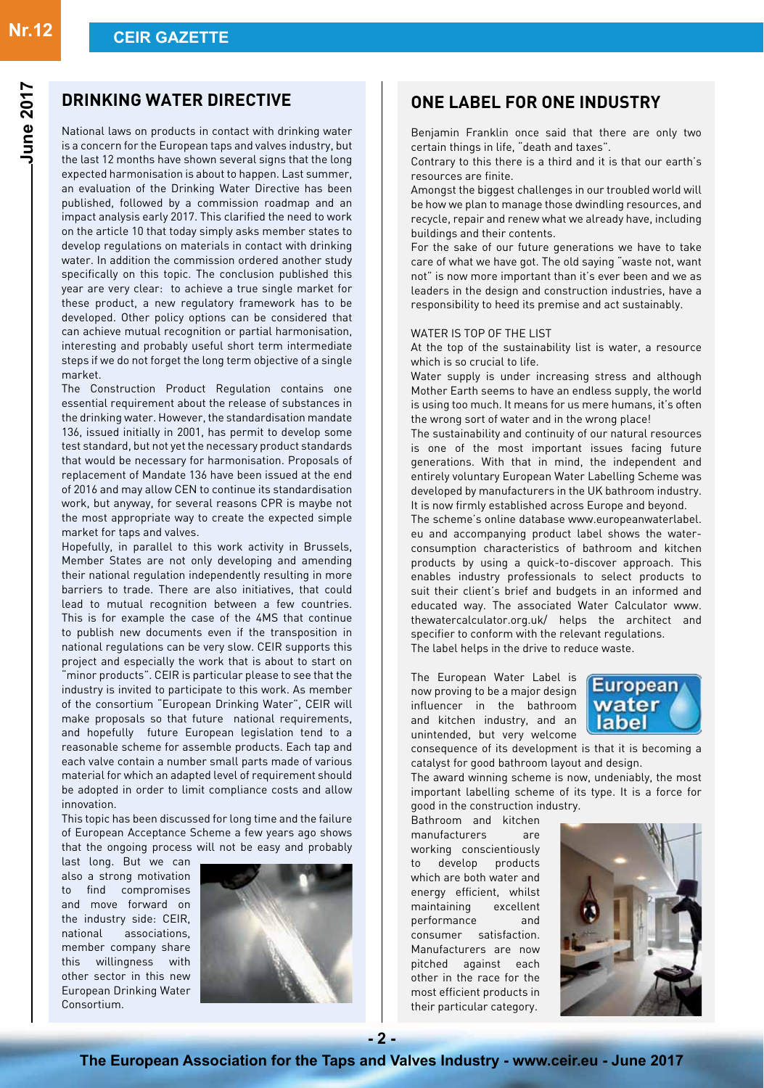### **DRINKING WATER DIRECTIVE**

National laws on products in contact with drinking water is a concern for the European taps and valves industry, but the last 12 months have shown several signs that the long expected harmonisation is about to happen. Last summer, an evaluation of the Drinking Water Directive has been published, followed by a commission roadmap and an impact analysis early 2017. This clarified the need to work on the article 10 that today simply asks member states to develop regulations on materials in contact with drinking water. In addition the commission ordered another study specifically on this topic. The conclusion published this year are very clear: to achieve a true single market for these product, a new regulatory framework has to be developed. Other policy options can be considered that can achieve mutual recognition or partial harmonisation, interesting and probably useful short term intermediate steps if we do not forget the long term objective of a single market.

The Construction Product Regulation contains one essential requirement about the release of substances in the drinking water. However, the standardisation mandate 136, issued initially in 2001, has permit to develop some test standard, but not yet the necessary product standards that would be necessary for harmonisation. Proposals of replacement of Mandate 136 have been issued at the end of 2016 and may allow CEN to continue its standardisation work, but anyway, for several reasons CPR is maybe not the most appropriate way to create the expected simple market for taps and valves.

Hopefully, in parallel to this work activity in Brussels, Member States are not only developing and amending their national regulation independently resulting in more barriers to trade. There are also initiatives, that could lead to mutual recognition between a few countries. This is for example the case of the 4MS that continue to publish new documents even if the transposition in national regulations can be very slow. CEIR supports this project and especially the work that is about to start on "minor products". CEIR is particular please to see that the industry is invited to participate to this work. As member of the consortium "European Drinking Water", CEIR will make proposals so that future national requirements, and hopefully future European legislation tend to a reasonable scheme for assemble products. Each tap and each valve contain a number small parts made of various material for which an adapted level of requirement should be adopted in order to limit compliance costs and allow innovation.

This topic has been discussed for long time and the failure of European Acceptance Scheme a few years ago shows that the ongoing process will not be easy and probably

last long. But we can also a strong motivation to find compromises and move forward on the industry side: CEIR, national associations, member company share this willingness with other sector in this new European Drinking Water Consortium.



### **ONE LABEL FOR ONE INDUSTRY**

Benjamin Franklin once said that there are only two certain things in life, "death and taxes".

Contrary to this there is a third and it is that our earth's resources are finite.

Amongst the biggest challenges in our troubled world will be how we plan to manage those dwindling resources, and recycle, repair and renew what we already have, including buildings and their contents.

For the sake of our future generations we have to take care of what we have got. The old saying "waste not, want not" is now more important than it's ever been and we as leaders in the design and construction industries, have a responsibility to heed its premise and act sustainably.

#### WATER IS TOP OF THE LIST

At the top of the sustainability list is water, a resource which is so crucial to life.

Water supply is under increasing stress and although Mother Earth seems to have an endless supply, the world is using too much. It means for us mere humans, it's often the wrong sort of water and in the wrong place!

The sustainability and continuity of our natural resources is one of the most important issues facing future generations. With that in mind, the independent and entirely voluntary European Water Labelling Scheme was developed by manufacturers in the UK bathroom industry. It is now firmly established across Europe and beyond.

The scheme's online database www.europeanwaterlabel. eu and accompanying product label shows the waterconsumption characteristics of bathroom and kitchen products by using a quick-to-discover approach. This enables industry professionals to select products to suit their client's brief and budgets in an informed and educated way. The associated Water Calculator www. thewatercalculator.org.uk/ helps the architect and specifier to conform with the relevant regulations. The label helps in the drive to reduce waste.

The European Water Label is now proving to be a major design influencer in the bathroom and kitchen industry, and an unintended, but very welcome



consequence of its development is that it is becoming a catalyst for good bathroom layout and design.

The award winning scheme is now, undeniably, the most important labelling scheme of its type. It is a force for good in the construction industry.

Bathroom and kitchen manufacturers are working conscientiously to develop products which are both water and energy efficient, whilst maintaining excellent performance and consumer satisfaction. Manufacturers are now pitched against each other in the race for the most efficient products in their particular category.



**June 2017**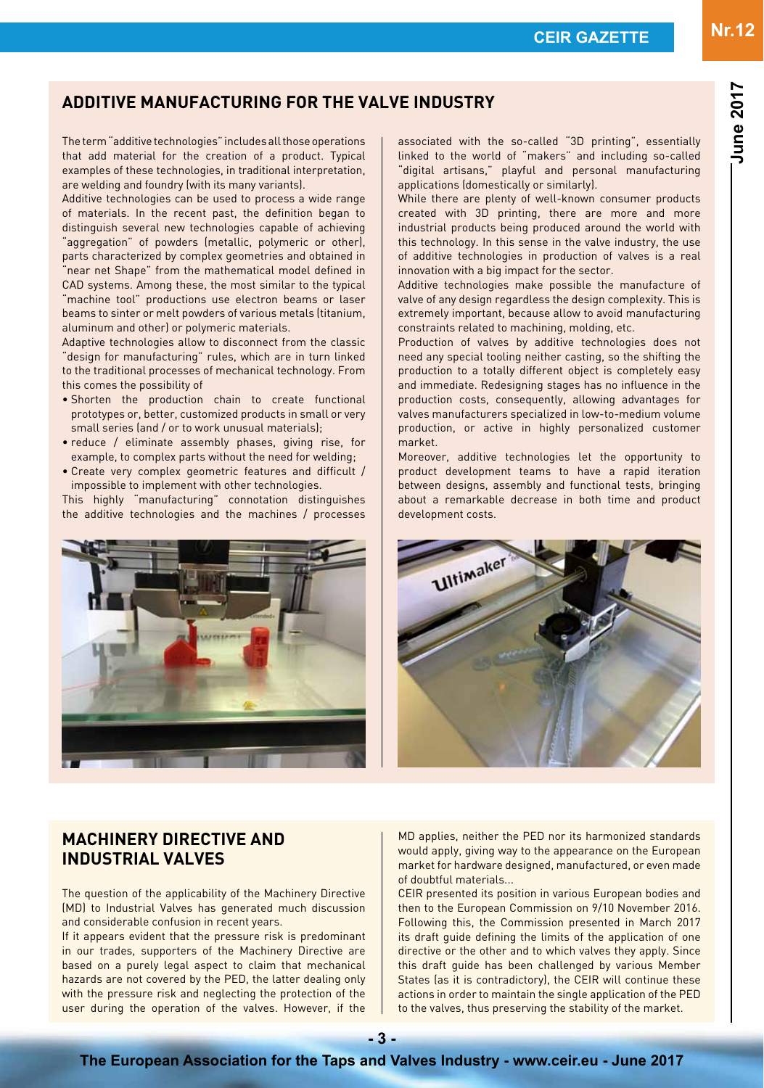**June 2017**

**June 2017** 

# **ADDITIVE MANUFACTURING FOR THE VALVE INDUSTRY**

The term "additive technologies" includes all those operations that add material for the creation of a product. Typical examples of these technologies, in traditional interpretation, are welding and foundry (with its many variants).

Additive technologies can be used to process a wide range of materials. In the recent past, the definition began to distinguish several new technologies capable of achieving "aggregation" of powders (metallic, polymeric or other), parts characterized by complex geometries and obtained in "near net Shape" from the mathematical model defined in CAD systems. Among these, the most similar to the typical "machine tool" productions use electron beams or laser beams to sinter or melt powders of various metals (titanium, aluminum and other) or polymeric materials.

Adaptive technologies allow to disconnect from the classic "design for manufacturing" rules, which are in turn linked to the traditional processes of mechanical technology. From this comes the possibility of

- Shorten the production chain to create functional prototypes or, better, customized products in small or very small series (and / or to work unusual materials);
- reduce / eliminate assembly phases, giving rise, for example, to complex parts without the need for welding;
- Create very complex geometric features and difficult / impossible to implement with other technologies.

This highly "manufacturing" connotation distinguishes the additive technologies and the machines / processes associated with the so-called "3D printing", essentially linked to the world of "makers" and including so-called "digital artisans," playful and personal manufacturing applications (domestically or similarly).

While there are plenty of well-known consumer products created with 3D printing, there are more and more industrial products being produced around the world with this technology. In this sense in the valve industry, the use of additive technologies in production of valves is a real innovation with a big impact for the sector.

Additive technologies make possible the manufacture of valve of any design regardless the design complexity. This is extremely important, because allow to avoid manufacturing constraints related to machining, molding, etc.

Production of valves by additive technologies does not need any special tooling neither casting, so the shifting the production to a totally different object is completely easy and immediate. Redesigning stages has no influence in the production costs, consequently, allowing advantages for valves manufacturers specialized in low-to-medium volume production, or active in highly personalized customer market.

Moreover, additive technologies let the opportunity to product development teams to have a rapid iteration between designs, assembly and functional tests, bringing about a remarkable decrease in both time and product development costs.

**Ultimaker** 

MD applies, neither the PED nor its harmonized standards would apply, giving way to the appearance on the European market for hardware designed, manufactured, or even made of doubtful materials...

CEIR presented its position in various European bodies and then to the European Commission on 9/10 November 2016. Following this, the Commission presented in March 2017 its draft guide defining the limits of the application of one directive or the other and to which valves they apply. Since this draft guide has been challenged by various Member States (as it is contradictory), the CEIR will continue these actions in order to maintain the single application of the PED to the valves, thus preserving the stability of the market.

# **MACHINERY DIRECTIVE AND INDUSTRIAL VALVES**

based on a purely legal aspect to claim that mechanical hazards are not covered by the PED, the latter dealing only with the pressure risk and neglecting the protection of the user during the operation of the valves. However, if the



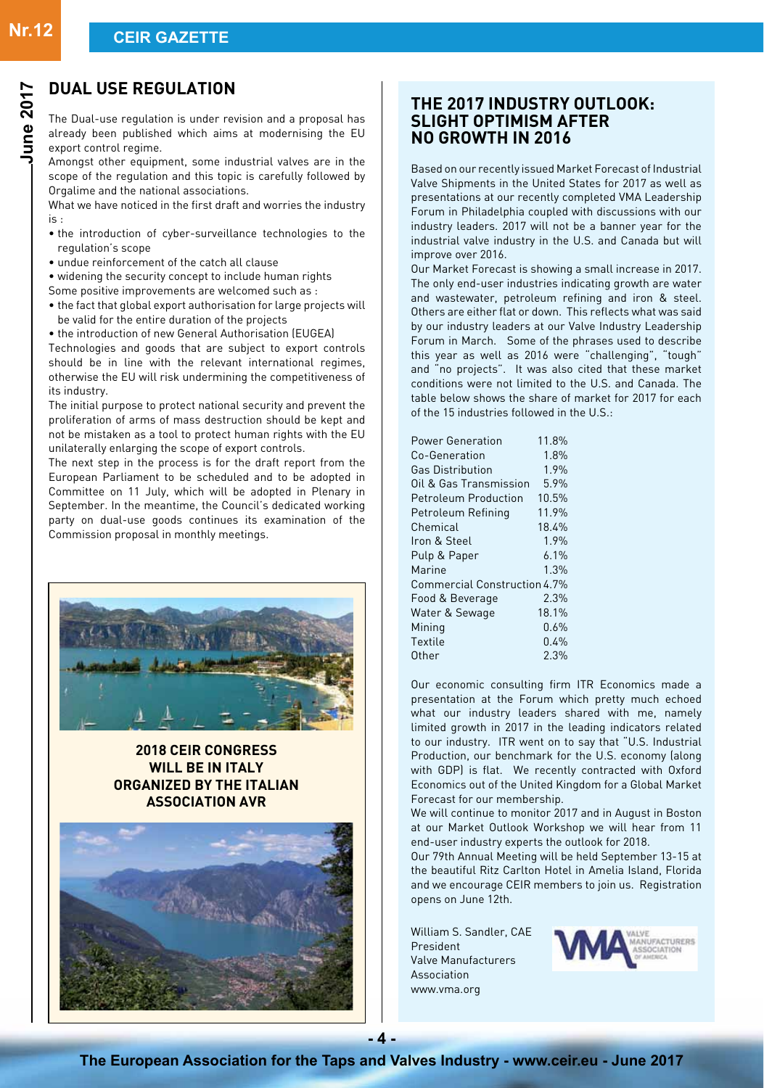# **DUAL USE REGULATION**

The Dual-use regulation is under revision and a proposal has already been published which aims at modernising the EU export control regime.

Amongst other equipment, some industrial valves are in the scope of the regulation and this topic is carefully followed by Orgalime and the national associations.

What we have noticed in the first draft and worries the industry  $i<sub>s</sub>$ .

- the introduction of cyber-surveillance technologies to the regulation's scope
- undue reinforcement of the catch all clause
- widening the security concept to include human rights
- Some positive improvements are welcomed such as :
- the fact that global export authorisation for large projects will be valid for the entire duration of the projects
- the introduction of new General Authorisation (EUGEA)

Technologies and goods that are subject to export controls should be in line with the relevant international regimes, otherwise the EU will risk undermining the competitiveness of its industry.

The initial purpose to protect national security and prevent the proliferation of arms of mass destruction should be kept and not be mistaken as a tool to protect human rights with the EU unilaterally enlarging the scope of export controls.

The next step in the process is for the draft report from the European Parliament to be scheduled and to be adopted in Committee on 11 July, which will be adopted in Plenary in September. In the meantime, the Council's dedicated working party on dual-use goods continues its examination of the Commission proposal in monthly meetings.



### **2018 CEIR Congress will be in Italy organized by the Italian Association AVR**



### **THE 2017 INDUSTRY OUTLOOK: SLIGHT OPTIMISM AFTER NO GROWTH IN 2016**

Based on our recently issued Market Forecast of Industrial Valve Shipments in the United States for 2017 as well as presentations at our recently completed VMA Leadership Forum in Philadelphia coupled with discussions with our industry leaders. 2017 will not be a banner year for the industrial valve industry in the U.S. and Canada but will improve over 2016.

Our Market Forecast is showing a small increase in 2017. The only end-user industries indicating growth are water and wastewater, petroleum refining and iron & steel. Others are either flat or down. This reflects what was said by our industry leaders at our Valve Industry Leadership Forum in March. Some of the phrases used to describe this year as well as 2016 were "challenging", "tough" and "no projects". It was also cited that these market conditions were not limited to the U.S. and Canada. The table below shows the share of market for 2017 for each of the 15 industries followed in the U.S. $\cdot$ 

| <b>Power Generation</b>      | 11.8%   |
|------------------------------|---------|
| Co-Generation                | 1.8%    |
| <b>Gas Distribution</b>      | 1.9%    |
| Oil & Gas Transmission       | 5.9%    |
| <b>Petroleum Production</b>  | 10.5%   |
| Petroleum Refining           | 11.9%   |
| Chemical                     | 18.4%   |
| Iron & Steel                 | 1.9%    |
| Pulp & Paper                 | $6.1\%$ |
| Marine                       | 1.3%    |
| Commercial Construction 4.7% |         |
| Food & Beverage              | 2.3%    |
| Water & Sewage               | 18.1%   |
| Mining                       | $0.6\%$ |
| Textile                      | 0.4%    |
| Other                        | 2.3%    |

Our economic consulting firm ITR Economics made a presentation at the Forum which pretty much echoed what our industry leaders shared with me, namely limited growth in 2017 in the leading indicators related to our industry. ITR went on to say that "U.S. Industrial Production, our benchmark for the U.S. economy (along with GDP) is flat. We recently contracted with Oxford Economics out of the United Kingdom for a Global Market Forecast for our membership.

We will continue to monitor 2017 and in August in Boston at our Market Outlook Workshop we will hear from 11 end-user industry experts the outlook for 2018.

Our 79th Annual Meeting will be held September 13-15 at the beautiful Ritz Carlton Hotel in Amelia Island, Florida and we encourage CEIR members to join us. Registration opens on June 12th.

William S. Sandler, CAE President Valve Manufacturers Association www.vma.org

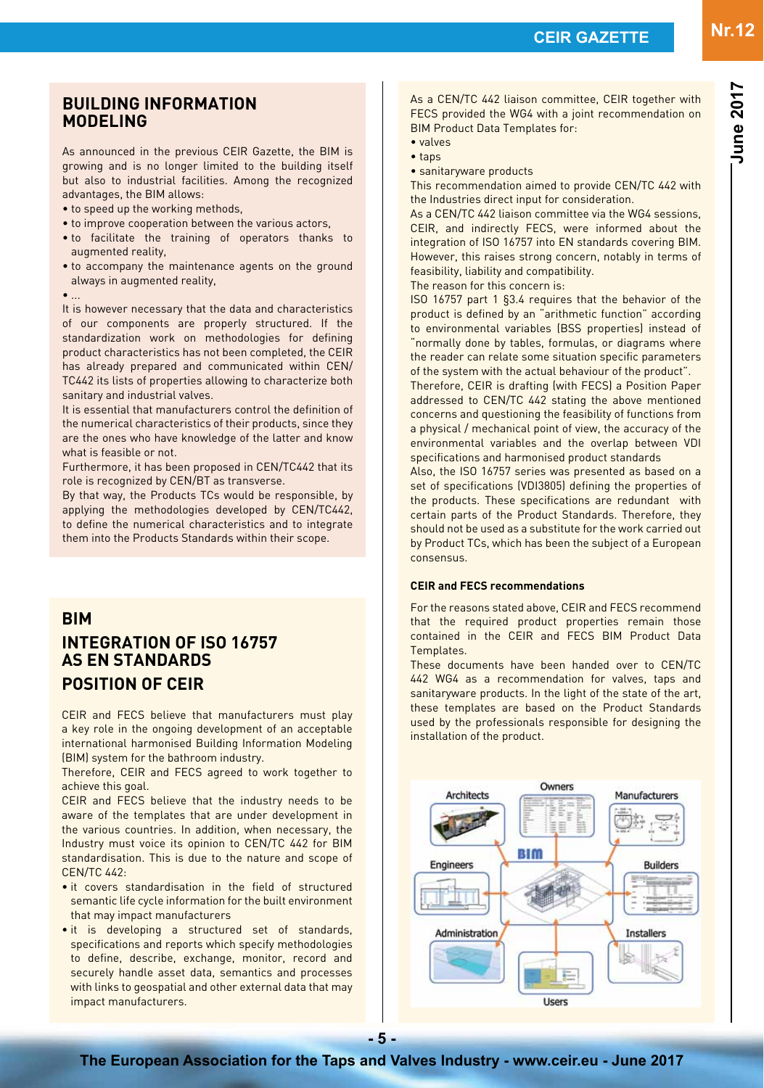**June 2017**

**June 2017** 

### **BUILDING INFORMATION MODELING**

As announced in the previous CEIR Gazette, the BIM is growing and is no longer limited to the building itself but also to industrial facilities. Among the recognized advantages, the BIM allows:

- to speed up the working methods,
- to improve cooperation between the various actors,
- to facilitate the training of operators thanks to augmented reality,
- to accompany the maintenance agents on the ground always in augmented reality,

#### • ...

It is however necessary that the data and characteristics of our components are properly structured. If the standardization work on methodologies for defining product characteristics has not been completed, the CEIR has already prepared and communicated within CEN/ TC442 its lists of properties allowing to characterize both sanitary and industrial valves.

It is essential that manufacturers control the definition of the numerical characteristics of their products, since they are the ones who have knowledge of the latter and know what is feasible or not.

Furthermore, it has been proposed in CEN/TC442 that its role is recognized by CEN/BT as transverse.

By that way, the Products TCs would be responsible, by applying the methodologies developed by CEN/TC442, to define the numerical characteristics and to integrate them into the Products Standards within their scope.

### **BIM**

# **INTEGRATION OF ISO 16757 AS EN STANDARDS POSITION OF CEIR**

CEIR and FECS believe that manufacturers must play a key role in the ongoing development of an acceptable international harmonised Building Information Modeling (BIM) system for the bathroom industry.

Therefore, CEIR and FECS agreed to work together to achieve this goal.

CEIR and FECS believe that the industry needs to be aware of the templates that are under development in the various countries. In addition, when necessary, the Industry must voice its opinion to CEN/TC 442 for BIM standardisation. This is due to the nature and scope of CEN/TC 442:

- it covers standardisation in the field of structured semantic life cycle information for the built environment that may impact manufacturers
- it is developing a structured set of standards, specifications and reports which specify methodologies to define, describe, exchange, monitor, record and securely handle asset data, semantics and processes with links to geospatial and other external data that may impact manufacturers.

As a CEN/TC 442 liaison committee, CEIR together with FECS provided the WG4 with a joint recommendation on BIM Product Data Templates for:

- valves
- taps
- sanitaryware products

This recommendation aimed to provide CEN/TC 442 with the Industries direct input for consideration.

As a CEN/TC 442 liaison committee via the WG4 sessions, CEIR, and indirectly FECS, were informed about the integration of ISO 16757 into EN standards covering BIM. However, this raises strong concern, notably in terms of feasibility, liability and compatibility.

The reason for this concern is:

ISO 16757 part 1 §3.4 requires that the behavior of the product is defined by an "arithmetic function" according to environmental variables (BSS properties) instead of "normally done by tables, formulas, or diagrams where the reader can relate some situation specific parameters of the system with the actual behaviour of the product".

Therefore, CEIR is drafting (with FECS) a Position Paper addressed to CEN/TC 442 stating the above mentioned concerns and questioning the feasibility of functions from a physical / mechanical point of view, the accuracy of the environmental variables and the overlap between VDI specifications and harmonised product standards

Also, the ISO 16757 series was presented as based on a set of specifications (VDI3805) defining the properties of the products. These specifications are redundant with certain parts of the Product Standards. Therefore, they should not be used as a substitute for the work carried out by Product TCs, which has been the subject of a European consensus.

### **CEIR and FECS recommendations**

For the reasons stated above, CEIR and FECS recommend that the required product properties remain those contained in the CEIR and FECS BIM Product Data **Templates** 

These documents have been handed over to CEN/TC 442 WG4 as a recommendation for valves, taps and sanitaryware products. In the light of the state of the art, these templates are based on the Product Standards used by the professionals responsible for designing the installation of the product.

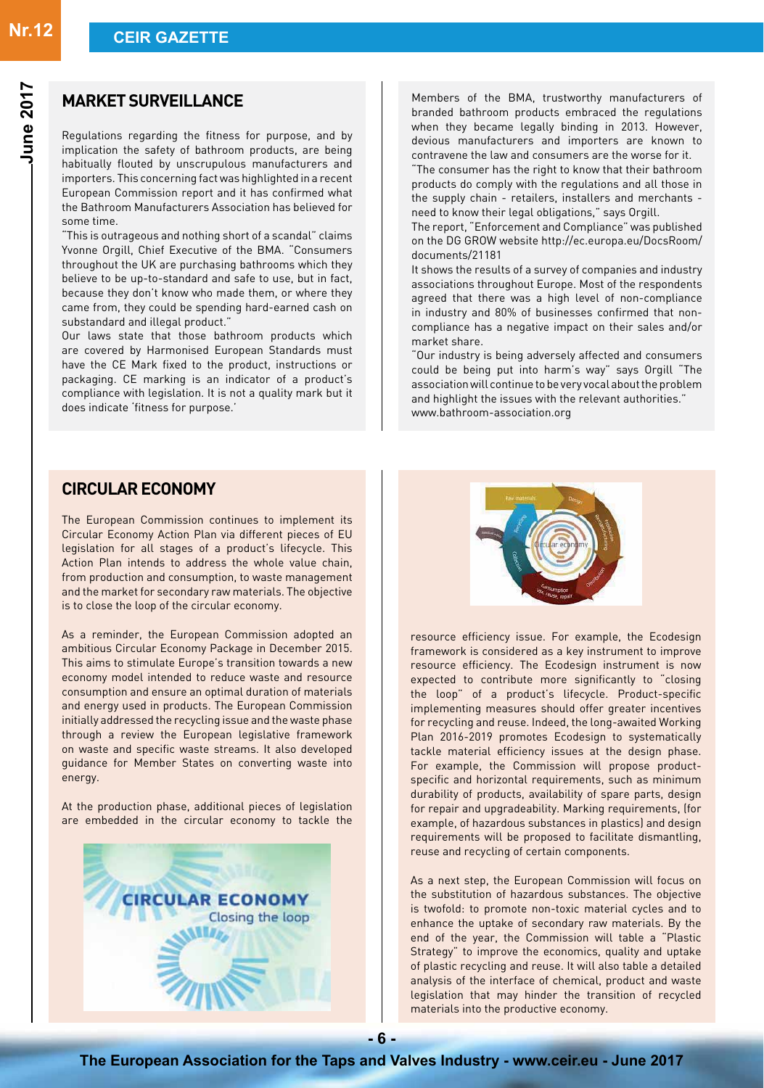### **MARKET SURVEILLANCE**

Regulations regarding the fitness for purpose, and by implication the safety of bathroom products, are being habitually flouted by unscrupulous manufacturers and importers. This concerning fact was highlighted in a recent European Commission report and it has confirmed what the Bathroom Manufacturers Association has believed for some time.

"This is outrageous and nothing short of a scandal" claims Yvonne Orgill, Chief Executive of the BMA. "Consumers throughout the UK are purchasing bathrooms which they believe to be up-to-standard and safe to use, but in fact, because they don't know who made them, or where they came from, they could be spending hard-earned cash on substandard and illegal product."

Our laws state that those bathroom products which are covered by Harmonised European Standards must have the CE Mark fixed to the product, instructions or packaging. CE marking is an indicator of a product's compliance with legislation. It is not a quality mark but it does indicate 'fitness for purpose.'

### **Circulareconomy**

The European Commission continues to implement its Circular Economy Action Plan via different pieces of EU legislation for all stages of a product's lifecycle. This Action Plan intends to address the whole value chain, from production and consumption, to waste management and the market for secondary raw materials. The objective is to close the loop of the circular economy.

As a reminder, the European Commission adopted an ambitious Circular Economy Package in December 2015. This aims to stimulate Europe's transition towards a new economy model intended to reduce waste and resource consumption and ensure an optimal duration of materials and energy used in products. The European Commission initially addressed the recycling issue and the waste phase through a review the European legislative framework on waste and specific waste streams. It also developed guidance for Member States on converting waste into energy.

At the production phase, additional pieces of legislation are embedded in the circular economy to tackle the



Members of the BMA, trustworthy manufacturers of branded bathroom products embraced the regulations when they became legally binding in 2013. However, devious manufacturers and importers are known to contravene the law and consumers are the worse for it.

"The consumer has the right to know that their bathroom products do comply with the regulations and all those in the supply chain - retailers, installers and merchants need to know their legal obligations," says Orgill.

The report, "Enforcement and Compliance" was published on the DG GROW website http://ec.europa.eu/DocsRoom/ documents/21181

It shows the results of a survey of companies and industry associations throughout Europe. Most of the respondents agreed that there was a high level of non-compliance in industry and 80% of businesses confirmed that noncompliance has a negative impact on their sales and/or market share.

"Our industry is being adversely affected and consumers could be being put into harm's way" says Orgill "The association will continue to be very vocal about the problem and highlight the issues with the relevant authorities." www.bathroom-association.org



resource efficiency issue. For example, the Ecodesign framework is considered as a key instrument to improve resource efficiency. The Ecodesign instrument is now expected to contribute more significantly to "closing the loop" of a product's lifecycle. Product-specific implementing measures should offer greater incentives for recycling and reuse. Indeed, the long-awaited Working Plan 2016-2019 promotes Ecodesign to systematically tackle material efficiency issues at the design phase. For example, the Commission will propose productspecific and horizontal requirements, such as minimum durability of products, availability of spare parts, design for repair and upgradeability. Marking requirements, (for example, of hazardous substances in plastics) and design requirements will be proposed to facilitate dismantling, reuse and recycling of certain components.

As a next step, the European Commission will focus on the substitution of hazardous substances. The objective is twofold: to promote non-toxic material cycles and to enhance the uptake of secondary raw materials. By the end of the year, the Commission will table a "Plastic Strategy" to improve the economics, quality and uptake of plastic recycling and reuse. It will also table a detailed analysis of the interface of chemical, product and waste legislation that may hinder the transition of recycled materials into the productive economy.

**- 6 -**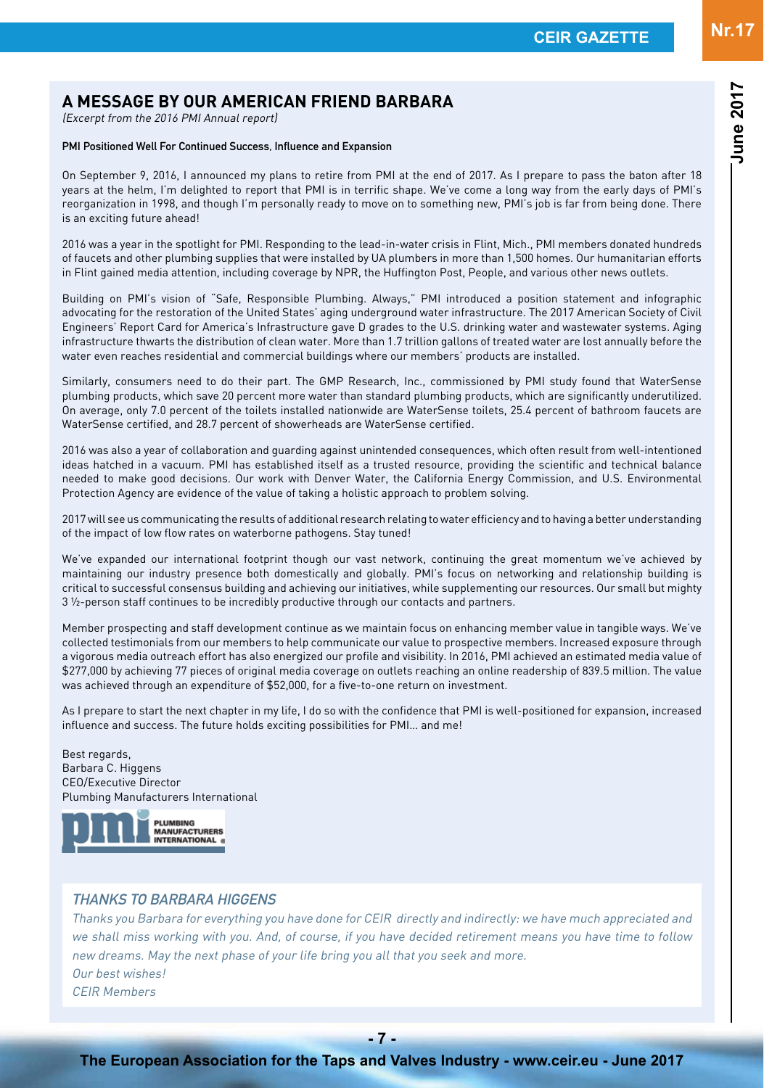# **A MESSAGE BY OUR AMERICAN FRIEND BARBARA**

(Excerpt from the 2016 PMI Annual report)

### PMI Positioned Well For Continued Success, Influence and Expansion

On September 9, 2016, I announced my plans to retire from PMI at the end of 2017. As I prepare to pass the baton after 18 years at the helm, I'm delighted to report that PMI is in terrific shape. We've come a long way from the early days of PMI's reorganization in 1998, and though I'm personally ready to move on to something new, PMI's job is far from being done. There is an exciting future ahead!

2016 was a year in the spotlight for PMI. Responding to the lead-in-water crisis in Flint, Mich., PMI members donated hundreds of faucets and other plumbing supplies that were installed by UA plumbers in more than 1,500 homes. Our humanitarian efforts in Flint gained media attention, including coverage by NPR, the Huffington Post, People, and various other news outlets.

Building on PMI's vision of "Safe, Responsible Plumbing. Always," PMI introduced a position statement and infographic advocating for the restoration of the United States' aging underground water infrastructure. The 2017 American Society of Civil Engineers' Report Card for America's Infrastructure gave D grades to the U.S. drinking water and wastewater systems. Aging infrastructure thwarts the distribution of clean water. More than 1.7 trillion gallons of treated water are lost annually before the water even reaches residential and commercial buildings where our members' products are installed.

Similarly, consumers need to do their part. The GMP Research, Inc., commissioned by PMI study found that WaterSense plumbing products, which save 20 percent more water than standard plumbing products, which are significantly underutilized. On average, only 7.0 percent of the toilets installed nationwide are WaterSense toilets, 25.4 percent of bathroom faucets are WaterSense certified, and 28.7 percent of showerheads are WaterSense certified.

2016 was also a year of collaboration and guarding against unintended consequences, which often result from well-intentioned ideas hatched in a vacuum. PMI has established itself as a trusted resource, providing the scientific and technical balance needed to make good decisions. Our work with Denver Water, the California Energy Commission, and U.S. Environmental Protection Agency are evidence of the value of taking a holistic approach to problem solving.

2017 will see us communicating the results of additional research relating to water efficiency and to having a better understanding of the impact of low flow rates on waterborne pathogens. Stay tuned!

We've expanded our international footprint though our vast network, continuing the great momentum we've achieved by maintaining our industry presence both domestically and globally. PMI's focus on networking and relationship building is critical to successful consensus building and achieving our initiatives, while supplementing our resources. Our small but mighty 3 ½-person staff continues to be incredibly productive through our contacts and partners.

Member prospecting and staff development continue as we maintain focus on enhancing member value in tangible ways. We've collected testimonials from our members to help communicate our value to prospective members. Increased exposure through a vigorous media outreach effort has also energized our profile and visibility. In 2016, PMI achieved an estimated media value of \$277,000 by achieving 77 pieces of original media coverage on outlets reaching an online readership of 839.5 million. The value was achieved through an expenditure of \$52,000, for a five-to-one return on investment.

As I prepare to start the next chapter in my life, I do so with the confidence that PMI is well-positioned for expansion, increased influence and success. The future holds exciting possibilities for PMI… and me!

Best regards, Barbara C. Higgens CEO/Executive Director Plumbing Manufacturers International



### THANKS TO BARBARA HIGGENS

Thanks you Barbara for everything you have done for CEIR directly and indirectly: we have much appreciated and we shall miss working with you. And, of course, if you have decided retirement means you have time to follow new dreams. May the next phase of your life bring you all that you seek and more. Our best wishes! CEIR Members